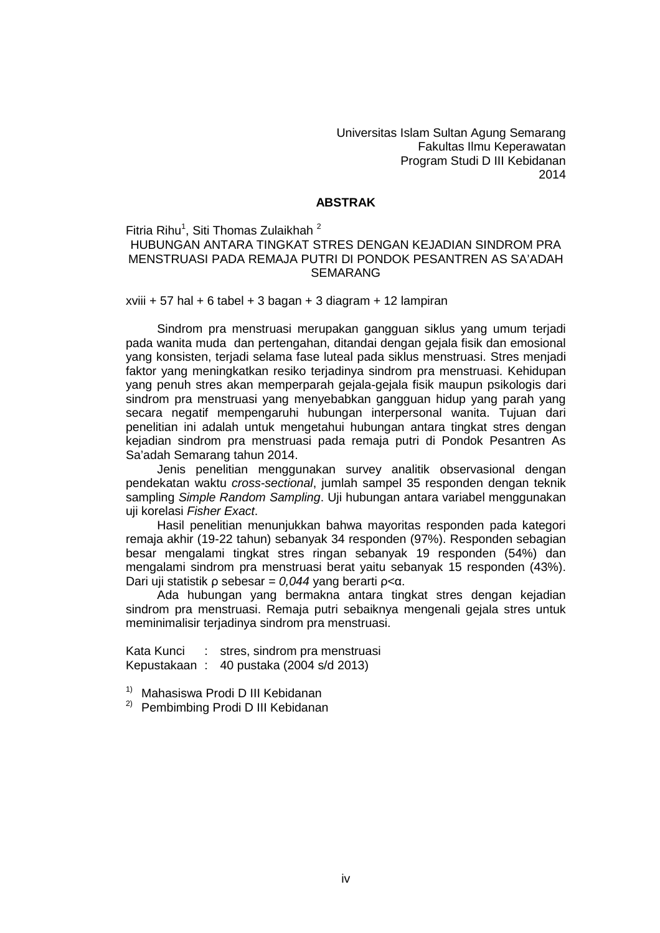Universitas Islam Sultan Agung Semarang Fakultas Ilmu Keperawatan Program Studi D III Kebidanan 2014

## **ABSTRAK**

Fitria Rihu<sup>1</sup>, Siti Thomas Zulaikhah  $^2$ 

## HUBUNGAN ANTARA TINGKAT STRES DENGAN KEJADIAN SINDROM PRA MENSTRUASI PADA REMAJA PUTRI DI PONDOK PESANTREN AS SA'ADAH SEMARANG

 $xviii + 57$  hal  $+ 6$  tabel  $+ 3$  bagan  $+ 3$  diagram  $+ 12$  lampiran

Sindrom pra menstruasi merupakan gangguan siklus yang umum terjadi pada wanita muda dan pertengahan, ditandai dengan gejala fisik dan emosional yang konsisten, terjadi selama fase luteal pada siklus menstruasi. Stres menjadi faktor yang meningkatkan resiko terjadinya sindrom pra menstruasi. Kehidupan yang penuh stres akan memperparah gejala-gejala fisik maupun psikologis dari sindrom pra menstruasi yang menyebabkan gangguan hidup yang parah yang secara negatif mempengaruhi hubungan interpersonal wanita. Tujuan dari penelitian ini adalah untuk mengetahui hubungan antara tingkat stres dengan kejadian sindrom pra menstruasi pada remaja putri di Pondok Pesantren As Sa'adah Semarang tahun 2014.

Jenis penelitian menggunakan survey analitik observasional dengan pendekatan waktu *cross-sectional*, jumlah sampel 35 responden dengan teknik sampling *Simple Random Sampling*. Uji hubungan antara variabel menggunakan uji korelasi *Fisher Exact*.

Hasil penelitian menunjukkan bahwa mayoritas responden pada kategori remaja akhir (19-22 tahun) sebanyak 34 responden (97%). Responden sebagian besar mengalami tingkat stres ringan sebanyak 19 responden (54%) dan mengalami sindrom pra menstruasi berat yaitu sebanyak 15 responden (43%). Dari uji statistik ρ sebesar *= 0,044* yang berarti ρ<α.

Ada hubungan yang bermakna antara tingkat stres dengan kejadian sindrom pra menstruasi. Remaja putri sebaiknya mengenali gejala stres untuk meminimalisir terjadinya sindrom pra menstruasi.

Kata Kunci : stres, sindrom pra menstruasi Kepustakaan : 40 pustaka (2004 s/d 2013)

1) Mahasiswa Prodi D III Kebidanan

<sup>2)</sup> Pembimbing Prodi D III Kebidanan